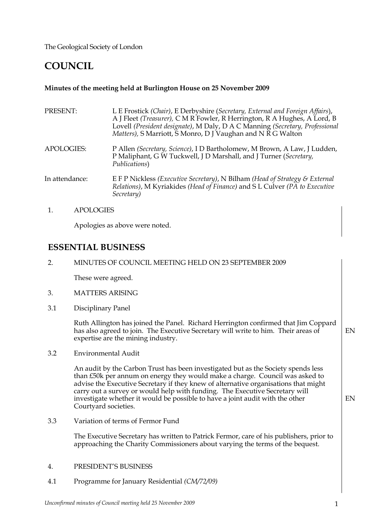The Geological Society of London

# **COUNCIL**

# **Minutes of the meeting held at Burlington House on 25 November 2009**

| L E Frostick (Chair), E Derbyshire (Secretary, External and Foreign Affairs),<br>A J Fleet (Treasurer), C M R Fowler, R Herrington, R A Hughes, A Lord, B<br>Lovell (President designate), M Daly, D A C Manning (Secretary, Professional<br>Matters), S Marriott, S Monro, D J Vaughan and N R G Walton |
|----------------------------------------------------------------------------------------------------------------------------------------------------------------------------------------------------------------------------------------------------------------------------------------------------------|
| P Allen (Secretary, Science), I D Bartholomew, M Brown, A Law, J Ludden,<br>P Maliphant, G W Tuckwell, J D Marshall, and J Turner (Secretary,<br>Publications)                                                                                                                                           |
| E F P Nickless (Executive Secretary), N Bilham (Head of Strategy & External<br>Relations), M Kyriakides (Head of Finance) and S L Culver (PA to Executive<br>Secretary)                                                                                                                                  |
|                                                                                                                                                                                                                                                                                                          |

1. APOLOGIES

Apologies as above were noted.

# **ESSENTIAL BUSINESS**

2. MINUTES OF COUNCIL MEETING HELD ON 23 SEPTEMBER 2009

These were agreed.

- 3. MATTERS ARISING
- 3.1 Disciplinary Panel

Ruth Allington has joined the Panel. Richard Herrington confirmed that Jim Coppard has also agreed to join. The Executive Secretary will write to him. Their areas of expertise are the mining industry. EN

3.2 Environmental Audit

> An audit by the Carbon Trust has been investigated but as the Society spends less than £50k per annum on energy they would make a charge. Council was asked to advise the Executive Secretary if they knew of alternative organisations that might carry out a survey or would help with funding. The Executive Secretary will investigate whether it would be possible to have a joint audit with the other Courtyard societies.

3.3 Variation of terms of Fermor Fund

> The Executive Secretary has written to Patrick Fermor, care of his publishers, prior to approaching the Charity Commissioners about varying the terms of the bequest.

- 4. PRESIDENT'S BUSINESS
- 4.1 Programme for January Residential *(CM/72/09)*

EN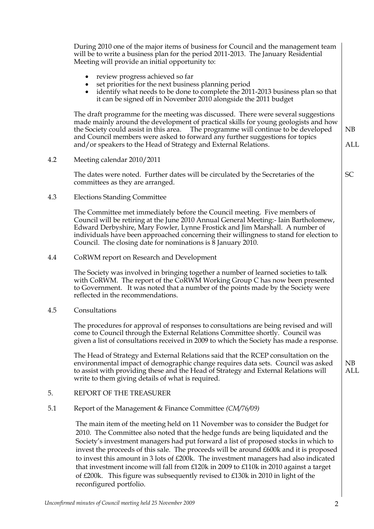|     | During 2010 one of the major items of business for Council and the management team<br>will be to write a business plan for the period 2011-2013. The January Residential<br>Meeting will provide an initial opportunity to:                                                                                                                                                                                                                                                                                                                                                                                                                         |                  |
|-----|-----------------------------------------------------------------------------------------------------------------------------------------------------------------------------------------------------------------------------------------------------------------------------------------------------------------------------------------------------------------------------------------------------------------------------------------------------------------------------------------------------------------------------------------------------------------------------------------------------------------------------------------------------|------------------|
|     | review progress achieved so far<br>set priorities for the next business planning period<br>identify what needs to be done to complete the 2011-2013 business plan so that<br>it can be signed off in November 2010 alongside the 2011 budget                                                                                                                                                                                                                                                                                                                                                                                                        |                  |
|     | The draft programme for the meeting was discussed. There were several suggestions<br>made mainly around the development of practical skills for young geologists and how<br>The programme will continue to be developed<br>the Society could assist in this area.<br>and Council members were asked to forward any further suggestions for topics<br>and/or speakers to the Head of Strategy and External Relations.                                                                                                                                                                                                                                | NB<br><b>ALL</b> |
| 4.2 | Meeting calendar 2010/2011                                                                                                                                                                                                                                                                                                                                                                                                                                                                                                                                                                                                                          |                  |
|     | The dates were noted. Further dates will be circulated by the Secretaries of the<br>committees as they are arranged.                                                                                                                                                                                                                                                                                                                                                                                                                                                                                                                                | <b>SC</b>        |
| 4.3 | <b>Elections Standing Committee</b>                                                                                                                                                                                                                                                                                                                                                                                                                                                                                                                                                                                                                 |                  |
|     | The Committee met immediately before the Council meeting. Five members of<br>Council will be retiring at the June 2010 Annual General Meeting:- Iain Bartholomew,<br>Edward Derbyshire, Mary Fowler, Lynne Frostick and Jim Marshall. A number of<br>individuals have been approached concerning their willingness to stand for election to<br>Council. The closing date for nominations is 8 January 2010.                                                                                                                                                                                                                                         |                  |
| 4.4 | CoRWM report on Research and Development                                                                                                                                                                                                                                                                                                                                                                                                                                                                                                                                                                                                            |                  |
|     | The Society was involved in bringing together a number of learned societies to talk<br>with CoRWM. The report of the CoRWM Working Group C has now been presented<br>to Government. It was noted that a number of the points made by the Society were<br>reflected in the recommendations.                                                                                                                                                                                                                                                                                                                                                          |                  |
| 4.5 | Consultations                                                                                                                                                                                                                                                                                                                                                                                                                                                                                                                                                                                                                                       |                  |
|     | The procedures for approval of responses to consultations are being revised and will<br>come to Council through the External Relations Committee shortly. Council was<br>given a list of consultations received in 2009 to which the Society has made a response.                                                                                                                                                                                                                                                                                                                                                                                   |                  |
|     | The Head of Strategy and External Relations said that the RCEP consultation on the<br>environmental impact of demographic change requires data sets. Council was asked<br>to assist with providing these and the Head of Strategy and External Relations will<br>write to them giving details of what is required.                                                                                                                                                                                                                                                                                                                                  | NB<br><b>ALL</b> |
| 5.  | REPORT OF THE TREASURER                                                                                                                                                                                                                                                                                                                                                                                                                                                                                                                                                                                                                             |                  |
| 5.1 | Report of the Management & Finance Committee $(CM/76/09)$                                                                                                                                                                                                                                                                                                                                                                                                                                                                                                                                                                                           |                  |
|     | The main item of the meeting held on 11 November was to consider the Budget for<br>2010. The Committee also noted that the hedge funds are being liquidated and the<br>Society's investment managers had put forward a list of proposed stocks in which to<br>invest the proceeds of this sale. The proceeds will be around £600k and it is proposed<br>to invest this amount in 3 lots of £200k. The investment managers had also indicated<br>that investment income will fall from £120k in 2009 to £110k in 2010 against a target<br>of £200k. This figure was subsequently revised to £130k in 2010 in light of the<br>reconfigured portfolio. |                  |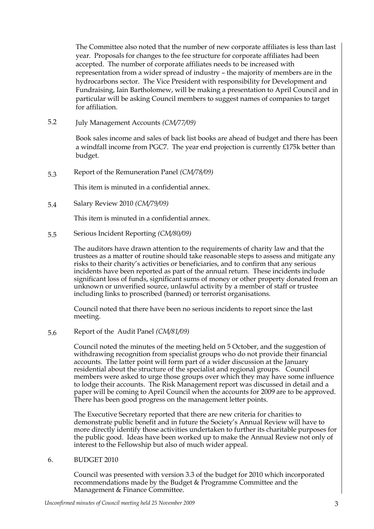The Committee also noted that the number of new corporate affiliates is less than last year. Proposals for changes to the fee structure for corporate affiliates had been accepted. The number of corporate affiliates needs to be increased with representation from a wider spread of industry – the majority of members are in the hydrocarbons sector. The Vice President with responsibility for Development and Fundraising, Iain Bartholomew, will be making a presentation to April Council and in particular will be asking Council members to suggest names of companies to target for affiliation.

5.2 July Management Accounts *(CM/77/09)*

> Book sales income and sales of back list books are ahead of budget and there has been a windfall income from PGC7. The year end projection is currently £175k better than budget.

5.3 Report of the Remuneration Panel *(CM/78/09)*

This item is minuted in a confidential annex.

5.4 Salary Review 2010 *(CM/79/09)*

This item is minuted in a confidential annex.

5.5 Serious Incident Reporting *(CM/80/09)*

> The auditors have drawn attention to the requirements of charity law and that the trustees as a matter of routine should take reasonable steps to assess and mitigate any risks to their charity's activities or beneficiaries, and to confirm that any serious incidents have been reported as part of the annual return. These incidents include significant loss of funds, significant sums of money or other property donated from an unknown or unverified source, unlawful activity by a member of staff or trustee including links to proscribed (banned) or terrorist organisations.

Council noted that there have been no serious incidents to report since the last meeting.

5.6 Report of the Audit Panel *(CM/81/09)*

> Council noted the minutes of the meeting held on 5 October, and the suggestion of withdrawing recognition from specialist groups who do not provide their financial accounts. The latter point will form part of a wider discussion at the January residential about the structure of the specialist and regional groups. Council members were asked to urge those groups over which they may have some influence to lodge their accounts. The Risk Management report was discussed in detail and a paper will be coming to April Council when the accounts for 2009 are to be approved. There has been good progress on the management letter points.

> The Executive Secretary reported that there are new criteria for charities to demonstrate public benefit and in future the Society's Annual Review will have to more directly identify those activities undertaken to further its charitable purposes for the public good. Ideas have been worked up to make the Annual Review not only of interest to the Fellowship but also of much wider appeal.

#### 6. BUDGET 2010

Council was presented with version 3.3 of the budget for 2010 which incorporated recommendations made by the Budget & Programme Committee and the Management & Finance Committee.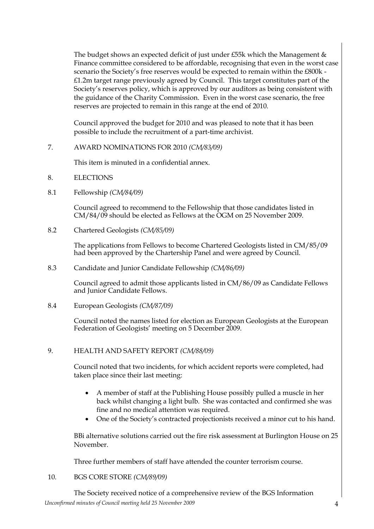The budget shows an expected deficit of just under £55k which the Management & Finance committee considered to be affordable, recognising that even in the worst case scenario the Society's free reserves would be expected to remain within the £800k - £1.2m target range previously agreed by Council. This target constitutes part of the Society's reserves policy, which is approved by our auditors as being consistent with the guidance of the Charity Commission. Even in the worst case scenario, the free reserves are projected to remain in this range at the end of 2010.

Council approved the budget for 2010 and was pleased to note that it has been possible to include the recruitment of a part-time archivist.

7. AWARD NOMINATIONS FOR 2010 *(CM/83/09)*

This item is minuted in a confidential annex.

- 8. **ELECTIONS**
- 8.1 Fellowship *(CM/84/09)*

Council agreed to recommend to the Fellowship that those candidates listed in CM/84/09 should be elected as Fellows at the OGM on 25 November 2009.

8.2 Chartered Geologists *(CM/85/09)*

> The applications from Fellows to become Chartered Geologists listed in CM/85/09 had been approved by the Chartership Panel and were agreed by Council.

8.3 Candidate and Junior Candidate Fellowship *(CM/86/09)*

> Council agreed to admit those applicants listed in CM/86/09 as Candidate Fellows and Junior Candidate Fellows.

8.4 European Geologists *(CM/87/09)*

> Council noted the names listed for election as European Geologists at the European Federation of Geologists' meeting on 5 December 2009.

#### 9. HEALTH AND SAFETY REPORT *(CM/88/09)*

Council noted that two incidents, for which accident reports were completed, had taken place since their last meeting:

- A member of staff at the Publishing House possibly pulled a muscle in her back whilst changing a light bulb. She was contacted and confirmed she was fine and no medical attention was required.
- One of the Society's contracted projectionists received a minor cut to his hand.

BBi alternative solutions carried out the fire risk assessment at Burlington House on 25 November.

Three further members of staff have attended the counter terrorism course.

10. BGS CORE STORE *(CM/89/09)*

*Unconfirmed minutes of Council meeting held 25 November 2009* 4 The Society received notice of a comprehensive review of the BGS Information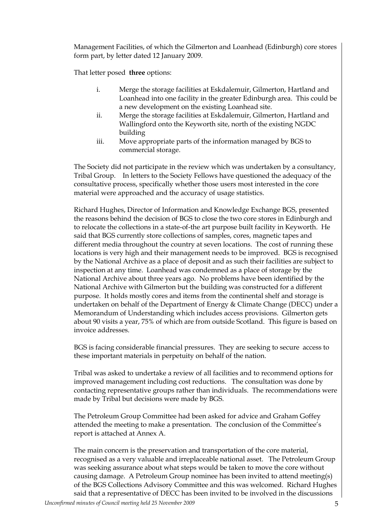Management Facilities, of which the Gilmerton and Loanhead (Edinburgh) core stores form part, by letter dated 12 January 2009.

That letter posed **three** options:

- i. Merge the storage facilities at Eskdalemuir, Gilmerton, Hartland and Loanhead into one facility in the greater Edinburgh area. This could be a new development on the existing Loanhead site.
- ii. Merge the storage facilities at Eskdalemuir, Gilmerton, Hartland and Wallingford onto the Keyworth site, north of the existing NGDC building
- iii. Move appropriate parts of the information managed by BGS to commercial storage.

The Society did not participate in the review which was undertaken by a consultancy, Tribal Group. In letters to the Society Fellows have questioned the adequacy of the consultative process, specifically whether those users most interested in the core material were approached and the accuracy of usage statistics.

Richard Hughes, Director of Information and Knowledge Exchange BGS, presented the reasons behind the decision of BGS to close the two core stores in Edinburgh and to relocate the collections in a state-of-the art purpose built facility in Keyworth. He said that BGS currently store collections of samples, cores, magnetic tapes and different media throughout the country at seven locations. The cost of running these locations is very high and their management needs to be improved. BGS is recognised by the National Archive as a place of deposit and as such their facilities are subject to inspection at any time. Loanhead was condemned as a place of storage by the National Archive about three years ago. No problems have been identified by the National Archive with Gilmerton but the building was constructed for a different purpose. It holds mostly cores and items from the continental shelf and storage is undertaken on behalf of the Department of Energy & Climate Change (DECC) under a Memorandum of Understanding which includes access provisions. Gilmerton gets about 90 visits a year, 75% of which are from outside Scotland. This figure is based on invoice addresses.

BGS is facing considerable financial pressures. They are seeking to secure access to these important materials in perpetuity on behalf of the nation.

Tribal was asked to undertake a review of all facilities and to recommend options for improved management including cost reductions. The consultation was done by contacting representative groups rather than individuals. The recommendations were made by Tribal but decisions were made by BGS.

The Petroleum Group Committee had been asked for advice and Graham Goffey attended the meeting to make a presentation. The conclusion of the Committee's report is attached at Annex A.

The main concern is the preservation and transportation of the core material, recognised as a very valuable and irreplaceable national asset. The Petroleum Group was seeking assurance about what steps would be taken to move the core without causing damage. A Petroleum Group nominee has been invited to attend meeting(s) of the BGS Collections Advisory Committee and this was welcomed. Richard Hughes said that a representative of DECC has been invited to be involved in the discussions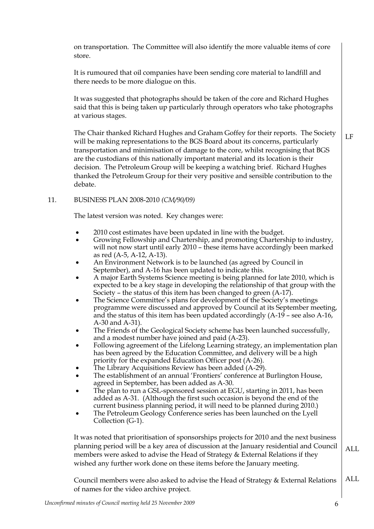on transportation. The Committee will also identify the more valuable items of core store.

It is rumoured that oil companies have been sending core material to landfill and there needs to be more dialogue on this.

It was suggested that photographs should be taken of the core and Richard Hughes said that this is being taken up particularly through operators who take photographs at various stages.

The Chair thanked Richard Hughes and Graham Goffey for their reports. The Society will be making representations to the BGS Board about its concerns, particularly transportation and minimisation of damage to the core, whilst recognising that BGS are the custodians of this nationally important material and its location is their decision. The Petroleum Group will be keeping a watching brief. Richard Hughes thanked the Petroleum Group for their very positive and sensible contribution to the debate.

## 11. BUSINESS PLAN 2008-2010 *(CM/90/09)*

The latest version was noted. Key changes were:

- 2010 cost estimates have been updated in line with the budget.
- Growing Fellowship and Chartership, and promoting Chartership to industry, will not now start until early 2010 – these items have accordingly been marked as red (A-5, A-12, A-13).
- An Environment Network is to be launched (as agreed by Council in September), and A-16 has been updated to indicate this.
- A major Earth Systems Science meeting is being planned for late 2010, which is expected to be a key stage in developing the relationship of that group with the Society – the status of this item has been changed to green (A-17).
- The Science Committee's plans for development of the Society's meetings programme were discussed and approved by Council at its September meeting, and the status of this item has been updated accordingly (A-19 – see also A-16, A-30 and A-31).
- The Friends of the Geological Society scheme has been launched successfully, and a modest number have joined and paid (A-23).
- Following agreement of the Lifelong Learning strategy, an implementation plan has been agreed by the Education Committee, and delivery will be a high priority for the expanded Education Officer post (A-26).
- The Library Acquisitions Review has been added (A-29).
- The establishment of an annual 'Frontiers' conference at Burlington House, agreed in September, has been added as A-30.
- The plan to run a GSL-sponsored session at EGU, starting in 2011, has been added as A-31. (Although the first such occasion is beyond the end of the current business planning period, it will need to be planned during 2010.)
- The Petroleum Geology Conference series has been launched on the Lyell Collection (G-1).

It was noted that prioritisation of sponsorships projects for 2010 and the next business planning period will be a key area of discussion at the January residential and Council members were asked to advise the Head of Strategy & External Relations if they wished any further work done on these items before the January meeting. ALL

Council members were also asked to advise the Head of Strategy & External Relations of names for the video archive project. ALL

LF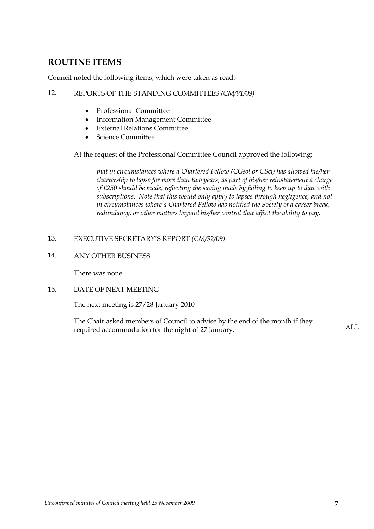# **ROUTINE ITEMS**

Council noted the following items, which were taken as read:-

# 12. REPORTS OF THE STANDING COMMITTEES *(CM/91/09)*

- Professional Committee
- Information Management Committee
- External Relations Committee
- Science Committee

At the request of the Professional Committee Council approved the following:

*that in circumstances where a Chartered Fellow (CGeol or CSci) has allowed his/her chartership to lapse for more than two years, as part of his/her reinstatement a charge of £250 should be made, reflecting the saving made by failing to keep up to date with subscriptions. Note that this would only apply to lapses through negligence, and not in circumstances where a Chartered Fellow has notified the Society of a career break, redundancy, or other matters beyond his/her control that affect the ability to pay.*

# 13. EXECUTIVE SECRETARY'S REPORT *(CM/92/09)*

## 14. ANY OTHER BUSINESS

There was none.

# 15. DATE OF NEXT MEETING

The next meeting is 27/28 January 2010

The Chair asked members of Council to advise by the end of the month if they required accommodation for the night of 27 January.  $ALL$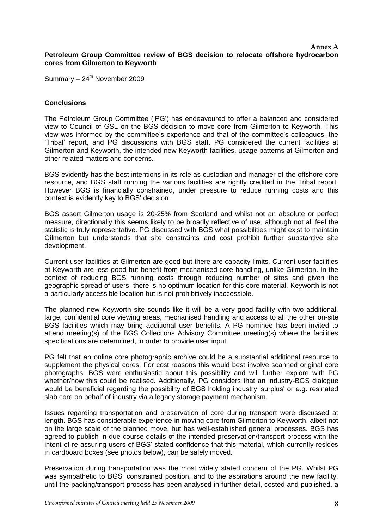#### **Annex A Petroleum Group Committee review of BGS decision to relocate offshore hydrocarbon cores from Gilmerton to Keyworth**

Summary  $-24^{\text{th}}$  November 2009

#### **Conclusions**

The Petroleum Group Committee ('PG') has endeavoured to offer a balanced and considered view to Council of GSL on the BGS decision to move core from Gilmerton to Keyworth. This view was informed by the committee's experience and that of the committee's colleagues, the 'Tribal' report, and PG discussions with BGS staff. PG considered the current facilities at Gilmerton and Keyworth, the intended new Keyworth facilities, usage patterns at Gilmerton and other related matters and concerns.

BGS evidently has the best intentions in its role as custodian and manager of the offshore core resource, and BGS staff running the various facilities are rightly credited in the Tribal report. However BGS is financially constrained, under pressure to reduce running costs and this context is evidently key to BGS' decision.

BGS assert Gilmerton usage is 20-25% from Scotland and whilst not an absolute or perfect measure, directionally this seems likely to be broadly reflective of use, although not all feel the statistic is truly representative. PG discussed with BGS what possibilities might exist to maintain Gilmerton but understands that site constraints and cost prohibit further substantive site development.

Current user facilities at Gilmerton are good but there are capacity limits. Current user facilities at Keyworth are less good but benefit from mechanised core handling, unlike Gilmerton. In the context of reducing BGS running costs through reducing number of sites and given the geographic spread of users, there is no optimum location for this core material. Keyworth is not a particularly accessible location but is not prohibitively inaccessible.

The planned new Keyworth site sounds like it will be a very good facility with two additional, large, confidential core viewing areas, mechanised handling and access to all the other on-site BGS facilities which may bring additional user benefits. A PG nominee has been invited to attend meeting(s) of the BGS Collections Advisory Committee meeting(s) where the facilities specifications are determined, in order to provide user input.

PG felt that an online core photographic archive could be a substantial additional resource to supplement the physical cores. For cost reasons this would best involve scanned original core photographs. BGS were enthusiastic about this possibility and will further explore with PG whether/how this could be realised. Additionally, PG considers that an industry-BGS dialogue would be beneficial regarding the possibility of BGS holding industry 'surplus' or e.g. resinated slab core on behalf of industry via a legacy storage payment mechanism.

Issues regarding transportation and preservation of core during transport were discussed at length. BGS has considerable experience in moving core from Gilmerton to Keyworth, albeit not on the large scale of the planned move, but has well-established general processes. BGS has agreed to publish in due course details of the intended preservation/transport process with the intent of re-assuring users of BGS' stated confidence that this material, which currently resides in cardboard boxes (see photos below), can be safely moved.

Preservation during transportation was the most widely stated concern of the PG. Whilst PG was sympathetic to BGS' constrained position, and to the aspirations around the new facility, until the packing/transport process has been analysed in further detail, costed and published, a